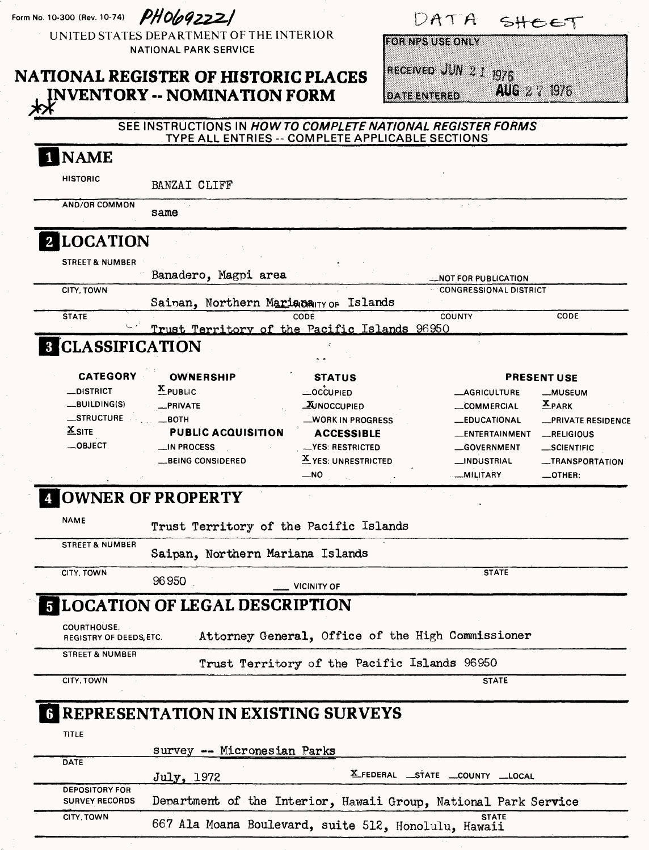| Form No. 10-300 (Rev. 10-74)                         | PHO692221                                                                                                       |                                          | DATA                               |                                     | 5HEET                               |
|------------------------------------------------------|-----------------------------------------------------------------------------------------------------------------|------------------------------------------|------------------------------------|-------------------------------------|-------------------------------------|
|                                                      | UNITED STATES DEPARTMENT OF THE INTERIOR<br><b>NATIONAL PARK SERVICE</b>                                        |                                          | FOR NPS USE ONLY                   |                                     |                                     |
|                                                      |                                                                                                                 |                                          |                                    | RECEIVED JUN 2 1 1976               |                                     |
|                                                      | <b>NATIONAL REGISTER OF HISTORIC PLACES</b>                                                                     |                                          |                                    |                                     | AUG 2 : 1976                        |
|                                                      | <b>NVENTORY -- NOMINATION FORM</b>                                                                              |                                          | <b>DATE ENTERED</b>                |                                     |                                     |
|                                                      | SEE INSTRUCTIONS IN HOW TO COMPLETE NATIONAL REGISTER FORMS<br>TYPE ALL ENTRIES -- COMPLETE APPLICABLE SECTIONS |                                          |                                    |                                     |                                     |
| <b>NAME</b>                                          |                                                                                                                 |                                          |                                    |                                     |                                     |
| <b>HISTORIC</b>                                      | BANZAI CLIFF                                                                                                    |                                          |                                    |                                     |                                     |
| AND/OR COMMON                                        | same                                                                                                            |                                          |                                    |                                     |                                     |
| 2 LOCATION                                           |                                                                                                                 |                                          |                                    |                                     |                                     |
| <b>STREET &amp; NUMBER</b>                           |                                                                                                                 |                                          |                                    |                                     |                                     |
|                                                      | Banadero, Magpi area                                                                                            |                                          |                                    | <b>_NOT FOR PUBLICATION</b>         |                                     |
| CITY, TOWN                                           | Sainan, Northern Mariana Ty of Islands                                                                          |                                          |                                    | <b>CONGRESSIONAL DISTRICT</b>       |                                     |
| <b>STATE</b>                                         |                                                                                                                 | CODE                                     |                                    | <b>COUNTY</b>                       | CODE                                |
|                                                      | Trust Territory of the Pacific Islands 96950                                                                    |                                          |                                    |                                     |                                     |
| <b>8 CLASSIFICATION</b>                              |                                                                                                                 |                                          |                                    |                                     |                                     |
| <b>CATEGORY</b>                                      | <b>OWNERSHIP</b>                                                                                                | <b>STATUS</b>                            |                                    |                                     | <b>PRESENT USE</b>                  |
| $\equiv$ DISTRICT                                    | $x$ PUBLIC                                                                                                      | —OCCUPIED                                |                                    | <b>__AGRICULTURE</b>                | _MUSEUM                             |
| $-BULDING(S)$                                        | _PRIVATE                                                                                                        | <b>WINOCCUPIED</b>                       |                                    | <b>__COMMERCIAL</b>                 | $X_{PARK}$                          |
| _STRUCTURE<br>$X$ SITE                               | $\equiv$ BOTH                                                                                                   | _WORK IN PROGRESS                        |                                    | <b>__EDUCATIONAL</b>                | <b>__PRIVATE RESIDENCE</b>          |
| $-$ OBJECT                                           | <b>PUBLIC ACQUISITION</b>                                                                                       | <b>ACCESSIBLE</b>                        |                                    | __ENTERTAINMENT                     | RELIGIOUS                           |
|                                                      | <b>MPROCESS</b><br>__BEING CONSIDERED                                                                           | __YES: RESTRICTED<br>X YES: UNRESTRICTED |                                    | __GOVERNMENT<br><b>__INDUSTRIAL</b> | $\_$ SCIENTIFIC<br>__TRANSPORTATION |
|                                                      |                                                                                                                 | _NO                                      |                                    | <b>MILITARY</b>                     | $\_$ OTHER:                         |
|                                                      | OWNER OF PROPERTY                                                                                               |                                          |                                    |                                     |                                     |
| <b>NAME</b>                                          | Trust Territory of the Pacific Islands                                                                          |                                          |                                    |                                     |                                     |
| <b>STREET &amp; NUMBER</b>                           | Saipan, Northern Mariana Islands                                                                                |                                          |                                    |                                     |                                     |
| CITY, TOWN                                           | 96950                                                                                                           | <b>VICINITY OF</b>                       |                                    | <b>STATE</b>                        |                                     |
|                                                      | <b>5 LOCATION OF LEGAL DESCRIPTION</b>                                                                          |                                          |                                    |                                     |                                     |
| <b>COURTHOUSE.</b><br><b>REGISTRY OF DEEDS, ETC.</b> | Attorney General, Office of the High Commissioner                                                               |                                          |                                    |                                     |                                     |
| <b>STREET &amp; NUMBER</b>                           | Trust Territory of the Pacific Islands 96950                                                                    |                                          |                                    |                                     |                                     |
| CITY, TOWN                                           |                                                                                                                 |                                          |                                    | <b>STATE</b>                        |                                     |
|                                                      | <b>G REPRESENTATION IN EXISTING SURVEYS</b>                                                                     |                                          |                                    |                                     |                                     |
| <b>TITLE</b>                                         |                                                                                                                 |                                          |                                    |                                     |                                     |
|                                                      | survey -- Micronesian Parks                                                                                     |                                          |                                    |                                     |                                     |
| <b>DATE</b>                                          | July, 1972                                                                                                      |                                          | X_FEDERAL __STATE __COUNTY __LOCAL |                                     |                                     |
| <b>DEPOSITORY FOR</b><br><b>SURVEY RECORDS</b>       | Department of the Interior, Hawaii Group, National Park Service                                                 |                                          |                                    |                                     |                                     |
| CITY, TOWN                                           | 667 Ala Moana Boulevard, suite 512, Honolulu, Hawaii                                                            |                                          |                                    | <b>STATE</b>                        |                                     |
|                                                      |                                                                                                                 |                                          |                                    |                                     |                                     |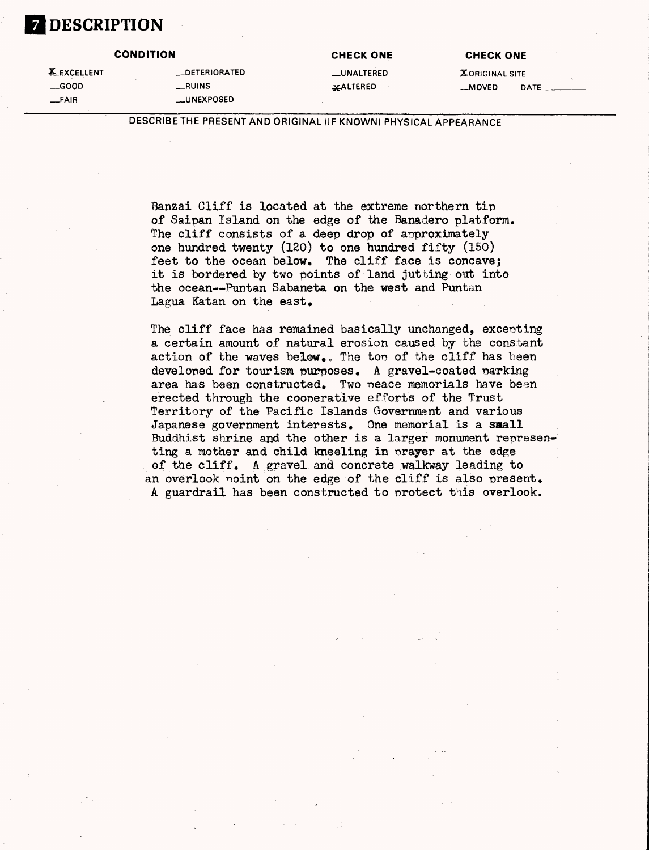

| <b>X</b> EXCELLENT |
|--------------------|
| __GOOD             |
| —FAIR              |

| <b>EXCELLENT</b> | <b>LLDETERIORATED</b> |
|------------------|-----------------------|
| __GOOD           | <b>RUINS</b>          |
| —FAIR            | <b>__UNEXPOSED</b>    |

**CONDITION CHECK ONE CHECK ONE**

LUNALTERED **X**ORIGINAL SITE **—GOOD \_RUINS ^ALTERED —MOVED DATE.**

DESCRIBE THE PRESENT AND ORIGINAL (IF KNOWN) PHYSICAL APPEARANCE

Banzai Cliff is located at the extreme northern tip of Saipan Island on the edge of the Banadero platform. The cliff consists of a deep drop of approximately one hundred twenty  $(120)$  to one hundred fifty  $(150)$ feet to the ocean below. The cliff face is concave; it is bordered by two points of land jutting out into the ocean--Puntan Sabaneta on the west and Puntan Lagua Katan on the east.

The cliff face has remained basically unchanged, excepting a certain amount of natural erosion caused by the constant action of the waves below.. The top of the cliff has been developed for tourism purposes. A gravel-coated marking area has been constructed. Two peace memorials have been erected through the cooperative efforts of the Trust Territory of the Pacific Islands Government and various Japanese government interests. One memorial is a small Buddhist shrine and the other is a larger monument representing a mother and child kneeling in nrayer at the edge of the cliff. A gravel and concrete walkway leading to an overlook noint on the edge of the cliff is also present. A guardrail has been constructed to protect this overlook.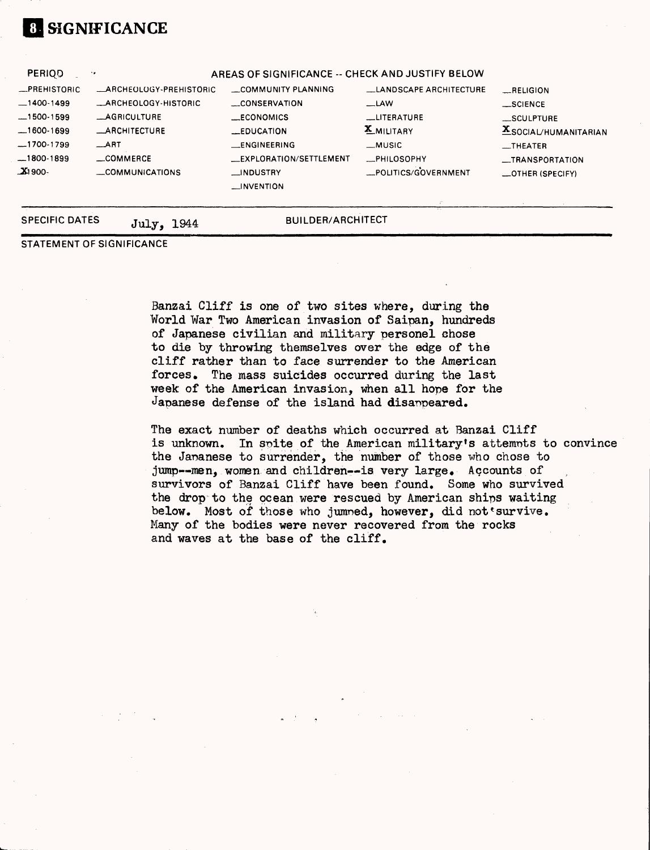## *\m* **SIGNIFICANCE**

| <b>PERIOD</b>                                                                                                | ٠.                                                                                                                                            | AREAS OF SIGNIFICANCE -- CHECK AND JUSTIFY BELOW                                                                                                          |                                                                                                                                   |                                                                                                                                            |
|--------------------------------------------------------------------------------------------------------------|-----------------------------------------------------------------------------------------------------------------------------------------------|-----------------------------------------------------------------------------------------------------------------------------------------------------------|-----------------------------------------------------------------------------------------------------------------------------------|--------------------------------------------------------------------------------------------------------------------------------------------|
| $R$ PREHISTORIC<br>$-1400-1499$<br>$-1500-1599$<br>$-1600-1699$<br>$-1700-1799$<br>$-1800-1899$<br>$\_X1900$ | <b>ARCHEOLOGY-PREHISTORIC</b><br>_ARCHEOLOGY-HISTORIC<br><b>_AGRICULTURE</b><br><b>_ARCHITECTURE</b><br>$\_ART$<br>COMMERCE<br>COMMUNICATIONS | COMMUNITY PLANNING<br>CONSERVATION<br><b>ECONOMICS</b><br><b>LEDUCATION</b><br>_ENGINEERING<br>__EXPLORATION/SETTLEMENT<br>__INDUSTRY<br>$\Box$ INVENTION | LANDSCAPE ARCHITECTURE<br>$\equiv$ LAW<br><b>LITERATURE</b><br><b>X</b> MILITARY<br>_MUSIC<br>_PHILOSOPHY<br>-POLITICS/GOVERNMENT | $$ RELIGION<br>$\equiv$ SCIENCE<br>__SCULPTURE<br><b>X</b> SOCIAL/HUMANITARIAN<br>$\equiv$ THEATER<br>__TRANSPORTATION<br>_OTHER (SPECIFY) |
| <b>SPECIFIC DATES</b>                                                                                        | 1944<br>July,                                                                                                                                 | <b>BUILDER/ARCHITECT</b>                                                                                                                                  |                                                                                                                                   |                                                                                                                                            |

STATEMENT OF SIGNIFICANCE

Banzai Cliff is one of two sites where, during the World War Two American invasion of Saipan, hundreds of Japanese civilian and military personel ehose to die by throwing themselves over the edge of the cliff rather than to face surrender to the American forces. The mass suicides occurred during the last week of the American invasion, when all hope for the Japanese defense of the island had disappeared.

The exact number of deaths which occurred at Banzai Cliff is unknown. In spite of the American military's attempts to convince the Japanese to surrender, the number of those who chose to jump--men, women and children--is very large. Accounts of survivors of Banzai Cliff have been found. Some who survived the drop to the ocean were rescued by American ships waiting below. Most of those who jumned, however, did not survive. Many of the bodies were never recovered from the rocks and waves at the base of the cliff.